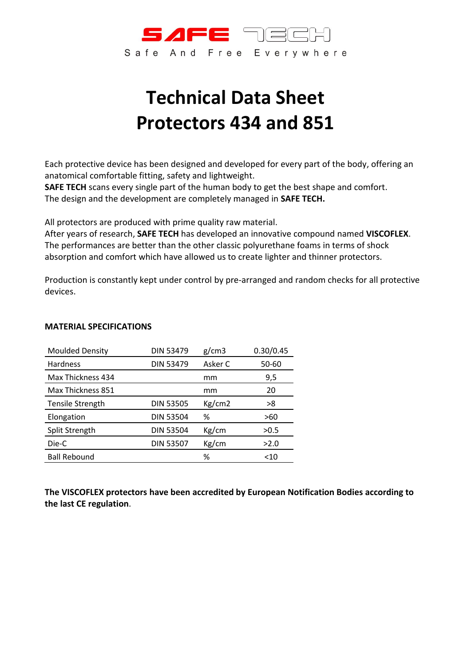

# **Technical Data Sheet Protectors 434 and 851**

Each protective device has been designed and developed for every part of the body, offering an anatomical comfortable fitting, safety and lightweight.

**SAFE TECH** scans every single part of the human body to get the best shape and comfort. The design and the development are completely managed in **SAFE TECH.**

All protectors are produced with prime quality raw material.

After years of research, **SAFE TECH** has developed an innovative compound named **VISCOFLEX**. The performances are better than the other classic polyurethane foams in terms of shock absorption and comfort which have allowed us to create lighter and thinner protectors.

Production is constantly kept under control by pre-arranged and random checks for all protective devices.

| <b>Moulded Density</b>  | <b>DIN 53479</b> | g/cm3   | 0.30/0.45 |
|-------------------------|------------------|---------|-----------|
| Hardness                | <b>DIN 53479</b> | Asker C | 50-60     |
| Max Thickness 434       |                  | mm      | 9,5       |
| Max Thickness 851       |                  | mm      | 20        |
| <b>Tensile Strength</b> | <b>DIN 53505</b> | Kg/cm2  | >8        |
| Elongation              | <b>DIN 53504</b> | ℅       | >60       |
| Split Strength          | <b>DIN 53504</b> | Kg/cm   | >0.5      |
| Die-C                   | <b>DIN 53507</b> | Kg/cm   | >2.0      |
| <b>Ball Rebound</b>     |                  | ℅       | $<$ 10    |

#### **MATERIAL SPECIFICATIONS**

**The VISCOFLEX protectors have been accredited by European Notification Bodies according to the last CE regulation**.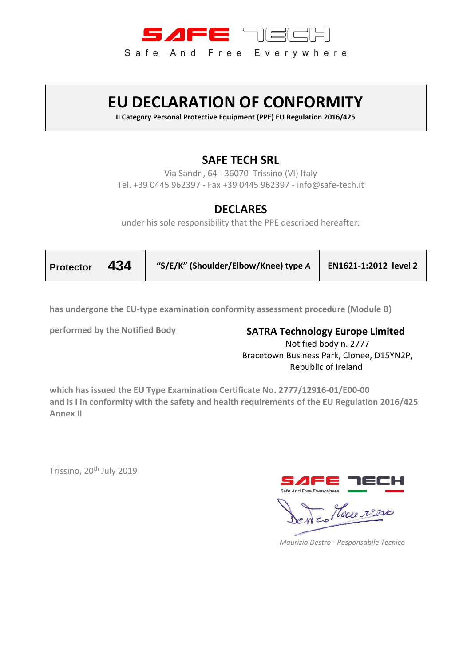

# **EU DECLARATION OF CONFORMITY**

**II Category Personal Protective Equipment (PPE) EU Regulation 2016/425**

### **SAFE TECH SRL**

Via Sandri, 64 - 36070 Trissino (VI) Italy Tel. +39 0445 962397 - Fax +39 0445 962397 - info@safe-tech.it

#### **DECLARES**

under his sole responsibility that the PPE described hereafter:

| Protector $434$ |  | "S/E/K" (Shoulder/Elbow/Knee) type A | EN1621-1:2012 level 2 |
|-----------------|--|--------------------------------------|-----------------------|
|-----------------|--|--------------------------------------|-----------------------|

**has undergone the EU-type examination conformity assessment procedure (Module B)** 

**performed by the Notified Body SATRA Technology Europe Limited** Notified body n. 2777 Bracetown Business Park, Clonee, D15YN2P, Republic of Ireland

**which has issued the EU Type Examination Certificate No. 2777/12916-01/E00-00 and is I in conformity with the safety and health requirements of the EU Regulation 2016/425 Annex II** 

Trissino, 20<sup>th</sup> July 2019



 *Maurizio Destro - Responsabile Tecnico*